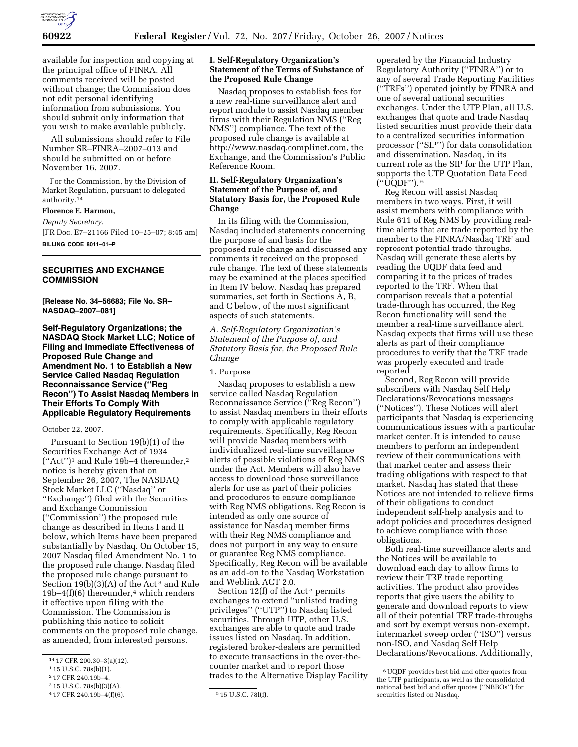

available for inspection and copying at the principal office of FINRA. All comments received will be posted without change; the Commission does not edit personal identifying information from submissions. You should submit only information that you wish to make available publicly.

All submissions should refer to File Number SR–FINRA–2007–013 and should be submitted on or before November 16, 2007.

For the Commission, by the Division of Market Regulation, pursuant to delegated authority.14

# **Florence E. Harmon,**

*Deputy Secretary.* 

[FR Doc. E7–21166 Filed 10–25–07; 8:45 am] **BILLING CODE 8011–01–P** 

### **SECURITIES AND EXCHANGE COMMISSION**

**[Release No. 34–56683; File No. SR– NASDAQ–2007–081]** 

**Self-Regulatory Organizations; the NASDAQ Stock Market LLC; Notice of Filing and Immediate Effectiveness of Proposed Rule Change and Amendment No. 1 to Establish a New Service Called Nasdaq Regulation Reconnaissance Service (''Reg Recon'') To Assist Nasdaq Members in Their Efforts To Comply With Applicable Regulatory Requirements** 

# October 22, 2007.

Pursuant to Section 19(b)(1) of the Securities Exchange Act of 1934 (''Act'')1 and Rule 19b–4 thereunder,2 notice is hereby given that on September 26, 2007, The NASDAQ Stock Market LLC (''Nasdaq'' or ''Exchange'') filed with the Securities and Exchange Commission (''Commission'') the proposed rule change as described in Items I and II below, which Items have been prepared substantially by Nasdaq. On October 15, 2007 Nasdaq filed Amendment No. 1 to the proposed rule change. Nasdaq filed the proposed rule change pursuant to Section  $19(b)(3)(A)$  of the Act<sup>3</sup> and Rule  $19b-4(f)(6)$  thereunder,<sup>4</sup> which renders it effective upon filing with the Commission. The Commission is publishing this notice to solicit comments on the proposed rule change, as amended, from interested persons.

2 17 CFR 240.19b–4.

## **I. Self-Regulatory Organization's Statement of the Terms of Substance of the Proposed Rule Change**

Nasdaq proposes to establish fees for a new real-time surveillance alert and report module to assist Nasdaq member firms with their Regulation NMS (''Reg NMS'') compliance. The text of the proposed rule change is available at http://www.nasdaq.complinet.com, the Exchange, and the Commission's Public Reference Room.

# **II. Self-Regulatory Organization's Statement of the Purpose of, and Statutory Basis for, the Proposed Rule Change**

In its filing with the Commission, Nasdaq included statements concerning the purpose of and basis for the proposed rule change and discussed any comments it received on the proposed rule change. The text of these statements may be examined at the places specified in Item IV below. Nasdaq has prepared summaries, set forth in Sections A, B, and C below, of the most significant aspects of such statements.

*A. Self-Regulatory Organization's Statement of the Purpose of, and Statutory Basis for, the Proposed Rule Change* 

### 1. Purpose

Nasdaq proposes to establish a new service called Nasdaq Regulation Reconnaissance Service (''Reg Recon'') to assist Nasdaq members in their efforts to comply with applicable regulatory requirements. Specifically, Reg Recon will provide Nasdaq members with individualized real-time surveillance alerts of possible violations of Reg NMS under the Act. Members will also have access to download those surveillance alerts for use as part of their policies and procedures to ensure compliance with Reg NMS obligations. Reg Recon is intended as only one source of assistance for Nasdaq member firms with their Reg NMS compliance and does not purport in any way to ensure or guarantee Reg NMS compliance. Specifically, Reg Recon will be available as an add-on to the Nasdaq Workstation and Weblink ACT 2.0.

Section 12(f) of the Act<sup>5</sup> permits exchanges to extend ''unlisted trading privileges'' (''UTP'') to Nasdaq listed securities. Through UTP, other U.S. exchanges are able to quote and trade issues listed on Nasdaq. In addition, registered broker-dealers are permitted to execute transactions in the over-thecounter market and to report those trades to the Alternative Display Facility

operated by the Financial Industry Regulatory Authority (''FINRA'') or to any of several Trade Reporting Facilities (''TRFs'') operated jointly by FINRA and one of several national securities exchanges. Under the UTP Plan, all U.S. exchanges that quote and trade Nasdaq listed securities must provide their data to a centralized securities information processor (''SIP'') for data consolidation and dissemination. Nasdaq, in its current role as the SIP for the UTP Plan, supports the UTP Quotation Data Feed (''UQDF''). 6

Reg Recon will assist Nasdaq members in two ways. First, it will assist members with compliance with Rule 611 of Reg NMS by providing realtime alerts that are trade reported by the member to the FINRA/Nasdaq TRF and represent potential trade-throughs. Nasdaq will generate these alerts by reading the UQDF data feed and comparing it to the prices of trades reported to the TRF. When that comparison reveals that a potential trade-through has occurred, the Reg Recon functionality will send the member a real-time surveillance alert. Nasdaq expects that firms will use these alerts as part of their compliance procedures to verify that the TRF trade was properly executed and trade reported.

Second, Reg Recon will provide subscribers with Nasdaq Self Help Declarations/Revocations messages (''Notices''). These Notices will alert participants that Nasdaq is experiencing communications issues with a particular market center. It is intended to cause members to perform an independent review of their communications with that market center and assess their trading obligations with respect to that market. Nasdaq has stated that these Notices are not intended to relieve firms of their obligations to conduct independent self-help analysis and to adopt policies and procedures designed to achieve compliance with those obligations.

Both real-time surveillance alerts and the Notices will be available to download each day to allow firms to review their TRF trade reporting activities. The product also provides reports that give users the ability to generate and download reports to view all of their potential TRF trade-throughs and sort by exempt versus non-exempt, intermarket sweep order (''ISO'') versus non-ISO, and Nasdaq Self Help Declarations/Revocations. Additionally,

<sup>14</sup> 17 CFR 200.30–3(a)(12).

<sup>1</sup> 15 U.S.C. 78s(b)(1).

<sup>3</sup> 15 U.S.C. 78s(b)(3)(A).

<sup>4</sup> 17 CFR 240.19b–4(f)(6). 5 15 U.S.C. 78l(f).

<sup>6</sup>UQDF provides best bid and offer quotes from the UTP participants, as well as the consolidated national best bid and offer quotes (''NBBOs'') for securities listed on Nasdaq.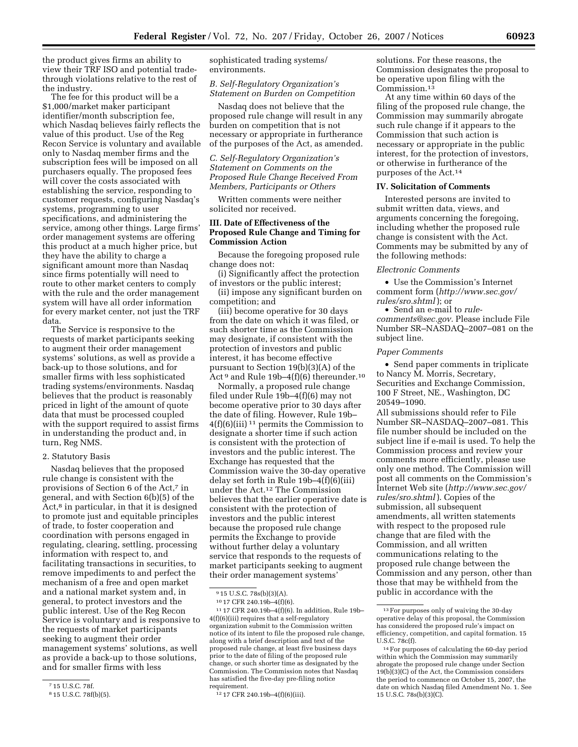the product gives firms an ability to view their TRF ISO and potential tradethrough violations relative to the rest of the industry.

The fee for this product will be a \$1,000/market maker participant identifier/month subscription fee, which Nasdaq believes fairly reflects the value of this product. Use of the Reg Recon Service is voluntary and available only to Nasdaq member firms and the subscription fees will be imposed on all purchasers equally. The proposed fees will cover the costs associated with establishing the service, responding to customer requests, configuring Nasdaq's systems, programming to user specifications, and administering the service, among other things. Large firms' order management systems are offering this product at a much higher price, but they have the ability to charge a significant amount more than Nasdaq since firms potentially will need to route to other market centers to comply with the rule and the order management system will have all order information for every market center, not just the TRF data.

The Service is responsive to the requests of market participants seeking to augment their order management systems' solutions, as well as provide a back-up to those solutions, and for smaller firms with less sophisticated trading systems/environments. Nasdaq believes that the product is reasonably priced in light of the amount of quote data that must be processed coupled with the support required to assist firms in understanding the product and, in turn, Reg NMS.

### 2. Statutory Basis

Nasdaq believes that the proposed rule change is consistent with the provisions of Section 6 of the Act,7 in general, and with Section 6(b)(5) of the Act,<sup>8</sup> in particular, in that it is designed to promote just and equitable principles of trade, to foster cooperation and coordination with persons engaged in regulating, clearing, settling, processing information with respect to, and facilitating transactions in securities, to remove impediments to and perfect the mechanism of a free and open market and a national market system and, in general, to protect investors and the public interest. Use of the Reg Recon Service is voluntary and is responsive to the requests of market participants seeking to augment their order management systems' solutions, as well as provide a back-up to those solutions, and for smaller firms with less

sophisticated trading systems/ environments.

## *B. Self-Regulatory Organization's Statement on Burden on Competition*

Nasdaq does not believe that the proposed rule change will result in any burden on competition that is not necessary or appropriate in furtherance of the purposes of the Act, as amended.

*C. Self-Regulatory Organization's Statement on Comments on the Proposed Rule Change Received From Members, Participants or Others* 

Written comments were neither solicited nor received.

# **III. Date of Effectiveness of the Proposed Rule Change and Timing for Commission Action**

Because the foregoing proposed rule change does not:

(i) Significantly affect the protection of investors or the public interest;

(ii) impose any significant burden on competition; and

(iii) become operative for 30 days from the date on which it was filed, or such shorter time as the Commission may designate, if consistent with the protection of investors and public interest, it has become effective pursuant to Section 19(b)(3)(A) of the Act<sup>9</sup> and Rule 19b-4(f)(6) thereunder.<sup>10</sup>

Normally, a proposed rule change filed under Rule 19b–4(f)(6) may not become operative prior to 30 days after the date of filing. However, Rule 19b–  $4(f)(6)(iii)$ <sup>11</sup> permits the Commission to designate a shorter time if such action is consistent with the protection of investors and the public interest. The Exchange has requested that the Commission waive the 30-day operative delay set forth in Rule 19b–4(f)(6)(iii) under the Act.12 The Commission believes that the earlier operative date is consistent with the protection of investors and the public interest because the proposed rule change permits the Exchange to provide without further delay a voluntary service that responds to the requests of market participants seeking to augment their order management systems'

solutions. For these reasons, the Commission designates the proposal to be operative upon filing with the Commission.13

At any time within 60 days of the filing of the proposed rule change, the Commission may summarily abrogate such rule change if it appears to the Commission that such action is necessary or appropriate in the public interest, for the protection of investors, or otherwise in furtherance of the purposes of the Act.14

# **IV. Solicitation of Comments**

Interested persons are invited to submit written data, views, and arguments concerning the foregoing, including whether the proposed rule change is consistent with the Act. Comments may be submitted by any of the following methods:

#### *Electronic Comments*

• Use the Commission's Internet comment form (*http://www.sec.gov/ rules/sro.shtml* ); or

• Send an e-mail to *rulecomments@sec.gov.* Please include File Number SR–NASDAQ–2007–081 on the subject line.

### *Paper Comments*

• Send paper comments in triplicate to Nancy M. Morris, Secretary, Securities and Exchange Commission, 100 F Street, NE., Washington, DC 20549–1090.

All submissions should refer to File Number SR–NASDAQ–2007–081. This file number should be included on the subject line if e-mail is used. To help the Commission process and review your comments more efficiently, please use only one method. The Commission will post all comments on the Commission's Internet Web site (*http://www.sec.gov/ rules/sro.shtml* ). Copies of the submission, all subsequent amendments, all written statements with respect to the proposed rule change that are filed with the Commission, and all written communications relating to the proposed rule change between the Commission and any person, other than those that may be withheld from the public in accordance with the

<sup>7</sup> 15 U.S.C. 78f.

<sup>8</sup> 15 U.S.C. 78f(b)(5).

<sup>9</sup> 15 U.S.C. 78s(b)(3)(A).

<sup>10</sup> 17 CFR 240.19b–4(f)(6).

 $^{11}$  17 CFR 240.19b–4(f)(6). In addition, Rule 19b– 4(f)(6)(iii) requires that a self-regulatory organization submit to the Commission written notice of its intent to file the proposed rule change, along with a brief description and text of the proposed rule change, at least five business days prior to the date of filing of the proposed rule change, or such shorter time as designated by the Commission. The Commission notes that Nasdaq has satisfied the five-day pre-filing notice requirement.

<sup>12</sup> 17 CFR 240.19b–4(f)(6)(iii).

 $^{\rm 13}\, \rm{For}$  purposes only of waiving the 30-day operative delay of this proposal, the Commission has considered the proposed rule's impact on efficiency, competition, and capital formation. 15 U.S.C. 78c(f).

<sup>14</sup>For purposes of calculating the 60-day period within which the Commission may summarily abrogate the proposed rule change under Section 19(b)(3)(C) of the Act, the Commission considers the period to commence on October 15, 2007, the date on which Nasdaq filed Amendment No. 1. See 15 U.S.C. 78s(b)(3)(C).